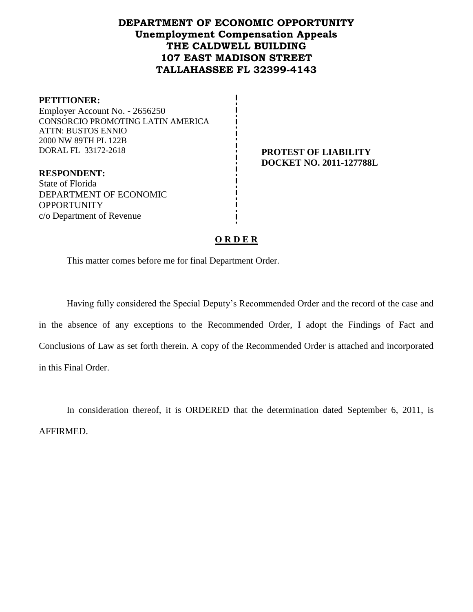# **DEPARTMENT OF ECONOMIC OPPORTUNITY Unemployment Compensation Appeals THE CALDWELL BUILDING 107 EAST MADISON STREET TALLAHASSEE FL 32399-4143**

#### **PETITIONER:**

Employer Account No. - 2656250 CONSORCIO PROMOTING LATIN AMERICA ATTN: BUSTOS ENNIO 2000 NW 89TH PL 122B DORAL FL 33172-2618 **PROTEST OF LIABILITY**

**DOCKET NO. 2011-127788L**

## **RESPONDENT:** State of Florida DEPARTMENT OF ECONOMIC OPPORTUNITY c/o Department of Revenue

# **O R D E R**

This matter comes before me for final Department Order.

Having fully considered the Special Deputy's Recommended Order and the record of the case and in the absence of any exceptions to the Recommended Order, I adopt the Findings of Fact and Conclusions of Law as set forth therein. A copy of the Recommended Order is attached and incorporated in this Final Order.

In consideration thereof, it is ORDERED that the determination dated September 6, 2011, is AFFIRMED.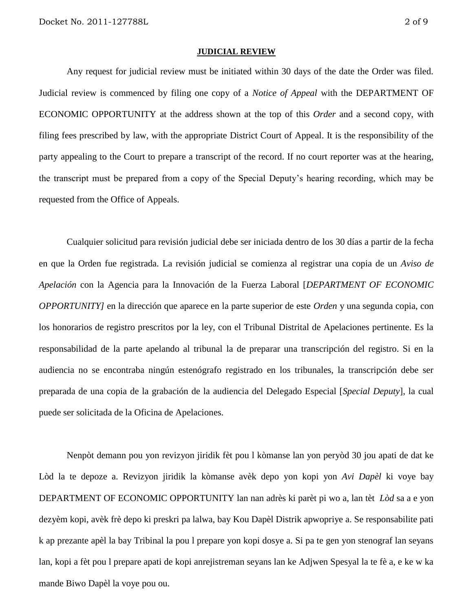#### **JUDICIAL REVIEW**

Any request for judicial review must be initiated within 30 days of the date the Order was filed. Judicial review is commenced by filing one copy of a *Notice of Appeal* with the DEPARTMENT OF ECONOMIC OPPORTUNITY at the address shown at the top of this *Order* and a second copy, with filing fees prescribed by law, with the appropriate District Court of Appeal. It is the responsibility of the party appealing to the Court to prepare a transcript of the record. If no court reporter was at the hearing, the transcript must be prepared from a copy of the Special Deputy's hearing recording, which may be requested from the Office of Appeals.

Cualquier solicitud para revisión judicial debe ser iniciada dentro de los 30 días a partir de la fecha en que la Orden fue registrada. La revisión judicial se comienza al registrar una copia de un *Aviso de Apelación* con la Agencia para la Innovación de la Fuerza Laboral [*DEPARTMENT OF ECONOMIC OPPORTUNITY]* en la dirección que aparece en la parte superior de este *Orden* y una segunda copia, con los honorarios de registro prescritos por la ley, con el Tribunal Distrital de Apelaciones pertinente. Es la responsabilidad de la parte apelando al tribunal la de preparar una transcripción del registro. Si en la audiencia no se encontraba ningún estenógrafo registrado en los tribunales, la transcripción debe ser preparada de una copia de la grabación de la audiencia del Delegado Especial [*Special Deputy*], la cual puede ser solicitada de la Oficina de Apelaciones.

Nenpòt demann pou yon revizyon jiridik fèt pou l kòmanse lan yon peryòd 30 jou apati de dat ke Lòd la te depoze a. Revizyon jiridik la kòmanse avèk depo yon kopi yon *Avi Dapèl* ki voye bay DEPARTMENT OF ECONOMIC OPPORTUNITY lan nan adrès ki parèt pi wo a, lan tèt *Lòd* sa a e yon dezyèm kopi, avèk frè depo ki preskri pa lalwa, bay Kou Dapèl Distrik apwopriye a. Se responsabilite pati k ap prezante apèl la bay Tribinal la pou l prepare yon kopi dosye a. Si pa te gen yon stenograf lan seyans lan, kopi a fèt pou l prepare apati de kopi anrejistreman seyans lan ke Adjwen Spesyal la te fè a, e ke w ka mande Biwo Dapèl la voye pou ou.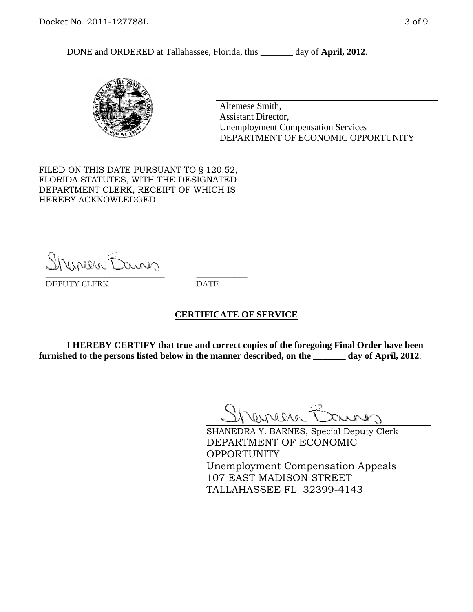DONE and ORDERED at Tallahassee, Florida, this day of **April, 2012**.



Altemese Smith, Assistant Director, Unemployment Compensation Services DEPARTMENT OF ECONOMIC OPPORTUNITY

FILED ON THIS DATE PURSUANT TO § 120.52, FLORIDA STATUTES, WITH THE DESIGNATED DEPARTMENT CLERK, RECEIPT OF WHICH IS HEREBY ACKNOWLEDGED.

Shemere Banner \_\_\_\_\_\_\_\_\_\_\_\_\_\_\_\_\_\_\_\_\_\_\_\_\_\_\_\_ \_\_\_\_\_\_\_\_\_\_\_\_

DEPUTY CLERK DATE

#### **CERTIFICATE OF SERVICE**

**I HEREBY CERTIFY that true and correct copies of the foregoing Final Order have been furnished to the persons listed below in the manner described, on the \_\_\_\_\_\_\_ day of April, 2012**.

Shaner Barnes

SHANEDRA Y. BARNES, Special Deputy Clerk DEPARTMENT OF ECONOMIC OPPORTUNITY Unemployment Compensation Appeals 107 EAST MADISON STREET TALLAHASSEE FL 32399-4143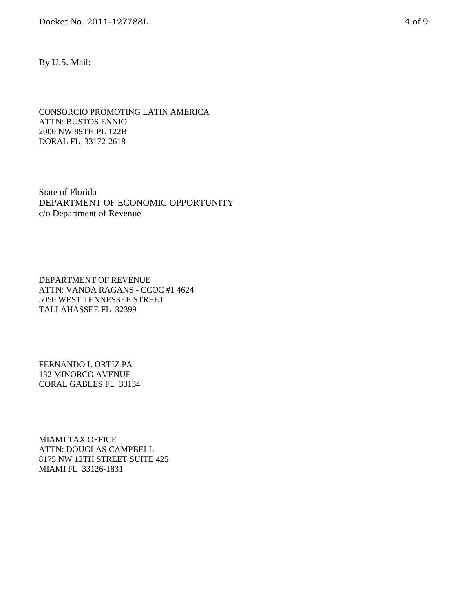By U.S. Mail:

CONSORCIO PROMOTING LATIN AMERICA ATTN: BUSTOS ENNIO 2000 NW 89TH PL 122B DORAL FL 33172-2618

State of Florida DEPARTMENT OF ECONOMIC OPPORTUNITY c/o Department of Revenue

DEPARTMENT OF REVENUE ATTN: VANDA RAGANS - CCOC #1 4624 5050 WEST TENNESSEE STREET TALLAHASSEE FL 32399

FERNANDO L ORTIZ PA 132 MINORCO AVENUE CORAL GABLES FL 33134

MIAMI TAX OFFICE ATTN: DOUGLAS CAMPBELL 8175 NW 12TH STREET SUITE 425 MIAMI FL 33126-1831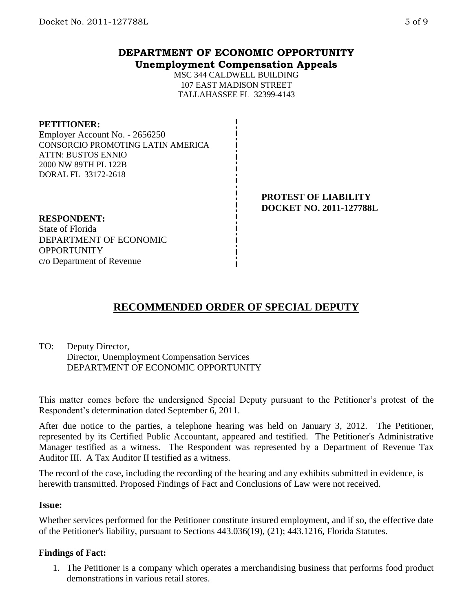# **DEPARTMENT OF ECONOMIC OPPORTUNITY Unemployment Compensation Appeals**

MSC 344 CALDWELL BUILDING 107 EAST MADISON STREET TALLAHASSEE FL 32399-4143

#### **PETITIONER:**

Employer Account No. - 2656250 CONSORCIO PROMOTING LATIN AMERICA ATTN: BUSTOS ENNIO 2000 NW 89TH PL 122B DORAL FL 33172-2618

#### **PROTEST OF LIABILITY DOCKET NO. 2011-127788L**

## **RESPONDENT:**

State of Florida DEPARTMENT OF ECONOMIC **OPPORTUNITY** c/o Department of Revenue

# **RECOMMENDED ORDER OF SPECIAL DEPUTY**

# TO: Deputy Director, Director, Unemployment Compensation Services DEPARTMENT OF ECONOMIC OPPORTUNITY

This matter comes before the undersigned Special Deputy pursuant to the Petitioner's protest of the Respondent's determination dated September 6, 2011.

After due notice to the parties, a telephone hearing was held on January 3, 2012. The Petitioner, represented by its Certified Public Accountant, appeared and testified. The Petitioner's Administrative Manager testified as a witness. The Respondent was represented by a Department of Revenue Tax Auditor III. A Tax Auditor II testified as a witness.

The record of the case, including the recording of the hearing and any exhibits submitted in evidence, is herewith transmitted. Proposed Findings of Fact and Conclusions of Law were not received.

# **Issue:**

Whether services performed for the Petitioner constitute insured employment, and if so, the effective date of the Petitioner's liability, pursuant to Sections 443.036(19), (21); 443.1216, Florida Statutes.

# **Findings of Fact:**

1. The Petitioner is a company which operates a merchandising business that performs food product demonstrations in various retail stores.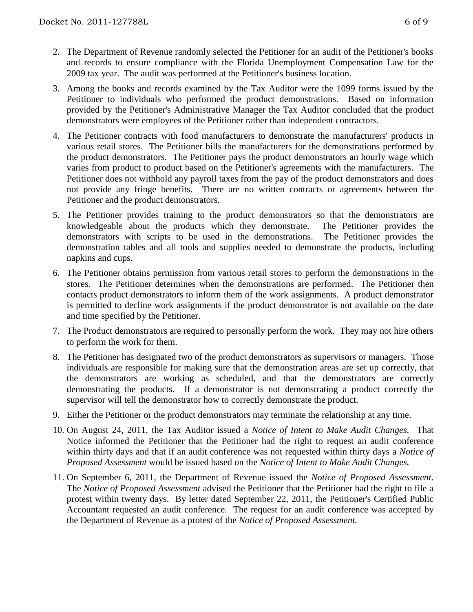- 2. The Department of Revenue randomly selected the Petitioner for an audit of the Petitioner's books and records to ensure compliance with the Florida Unemployment Compensation Law for the 2009 tax year. The audit was performed at the Petitioner's business location.
- 3. Among the books and records examined by the Tax Auditor were the 1099 forms issued by the Petitioner to individuals who performed the product demonstrations. Based on information provided by the Petitioner's Administrative Manager the Tax Auditor concluded that the product demonstrators were employees of the Petitioner rather than independent contractors.
- 4. The Petitioner contracts with food manufacturers to demonstrate the manufacturers' products in various retail stores. The Petitioner bills the manufacturers for the demonstrations performed by the product demonstrators. The Petitioner pays the product demonstrators an hourly wage which varies from product to product based on the Petitioner's agreements with the manufacturers. The Petitioner does not withhold any payroll taxes from the pay of the product demonstrators and does not provide any fringe benefits. There are no written contracts or agreements between the Petitioner and the product demonstrators.
- 5. The Petitioner provides training to the product demonstrators so that the demonstrators are knowledgeable about the products which they demonstrate. The Petitioner provides the demonstrators with scripts to be used in the demonstrations. The Petitioner provides the demonstration tables and all tools and supplies needed to demonstrate the products, including napkins and cups.
- 6. The Petitioner obtains permission from various retail stores to perform the demonstrations in the stores. The Petitioner determines when the demonstrations are performed. The Petitioner then contacts product demonstrators to inform them of the work assignments. A product demonstrator is permitted to decline work assignments if the product demonstrator is not available on the date and time specified by the Petitioner.
- 7. The Product demonstrators are required to personally perform the work. They may not hire others to perform the work for them.
- 8. The Petitioner has designated two of the product demonstrators as supervisors or managers. Those individuals are responsible for making sure that the demonstration areas are set up correctly, that the demonstrators are working as scheduled, and that the demonstrators are correctly demonstrating the products. If a demonstrator is not demonstrating a product correctly the supervisor will tell the demonstrator how to correctly demonstrate the product.
- 9. Either the Petitioner or the product demonstrators may terminate the relationship at any time.
- 10. On August 24, 2011, the Tax Auditor issued a *Notice of Intent to Make Audit Changes.* That Notice informed the Petitioner that the Petitioner had the right to request an audit conference within thirty days and that if an audit conference was not requested within thirty days a *Notice of Proposed Assessment* would be issued based on the *Notice of Intent to Make Audit Changes.*
- 11. On September 6, 2011, the Department of Revenue issued the *Notice of Proposed Assessment*. The *Notice of Proposed Assessment* advised the Petitioner that the Petitioner had the right to file a protest within twenty days. By letter dated September 22, 2011, the Petitioner's Certified Public Accountant requested an audit conference. The request for an audit conference was accepted by the Department of Revenue as a protest of the *Notice of Proposed Assessment.*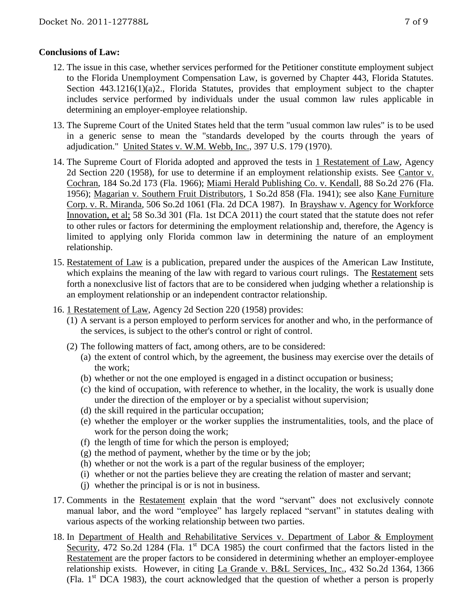# **Conclusions of Law:**

- 12. The issue in this case, whether services performed for the Petitioner constitute employment subject to the Florida Unemployment Compensation Law, is governed by Chapter 443, Florida Statutes. Section 443.1216(1)(a)2., Florida Statutes, provides that employment subject to the chapter includes service performed by individuals under the usual common law rules applicable in determining an employer-employee relationship.
- 13. The Supreme Court of the United States held that the term "usual common law rules" is to be used in a generic sense to mean the "standards developed by the courts through the years of adjudication." United States v. W.M. Webb, Inc., 397 U.S. 179 (1970).
- 14. The Supreme Court of Florida adopted and approved the tests in 1 Restatement of Law, Agency 2d Section 220 (1958), for use to determine if an employment relationship exists. See Cantor v. Cochran, 184 So.2d 173 (Fla. 1966); Miami Herald Publishing Co. v. Kendall, 88 So.2d 276 (Fla. 1956); Magarian v. Southern Fruit Distributors, 1 So.2d 858 (Fla. 1941); see also Kane Furniture Corp. v. R. Miranda, 506 So.2d 1061 (Fla. 2d DCA 1987). In Brayshaw v. Agency for Workforce Innovation, et al; 58 So.3d 301 (Fla. 1st DCA 2011) the court stated that the statute does not refer to other rules or factors for determining the employment relationship and, therefore, the Agency is limited to applying only Florida common law in determining the nature of an employment relationship.
- 15. Restatement of Law is a publication, prepared under the auspices of the American Law Institute, which explains the meaning of the law with regard to various court rulings. The Restatement sets forth a nonexclusive list of factors that are to be considered when judging whether a relationship is an employment relationship or an independent contractor relationship.
- 16. 1 Restatement of Law, Agency 2d Section 220 (1958) provides:
	- (1) A servant is a person employed to perform services for another and who, in the performance of the services, is subject to the other's control or right of control.
	- (2) The following matters of fact, among others, are to be considered:
		- (a) the extent of control which, by the agreement, the business may exercise over the details of the work;
		- (b) whether or not the one employed is engaged in a distinct occupation or business;
		- (c) the kind of occupation, with reference to whether, in the locality, the work is usually done under the direction of the employer or by a specialist without supervision;
		- (d) the skill required in the particular occupation;
		- (e) whether the employer or the worker supplies the instrumentalities, tools, and the place of work for the person doing the work;
		- (f) the length of time for which the person is employed;
		- (g) the method of payment, whether by the time or by the job;
		- (h) whether or not the work is a part of the regular business of the employer;
		- (i) whether or not the parties believe they are creating the relation of master and servant;
		- (j) whether the principal is or is not in business.
- 17. Comments in the Restatement explain that the word "servant" does not exclusively connote manual labor, and the word "employee" has largely replaced "servant" in statutes dealing with various aspects of the working relationship between two parties.
- 18. In Department of Health and Rehabilitative Services v. Department of Labor & Employment Security, 472 So.2d 1284 (Fla. 1<sup>st</sup> DCA 1985) the court confirmed that the factors listed in the Restatement are the proper factors to be considered in determining whether an employer-employee relationship exists. However, in citing La Grande v. B&L Services, Inc., 432 So.2d 1364, 1366 (Fla. 1st DCA 1983), the court acknowledged that the question of whether a person is properly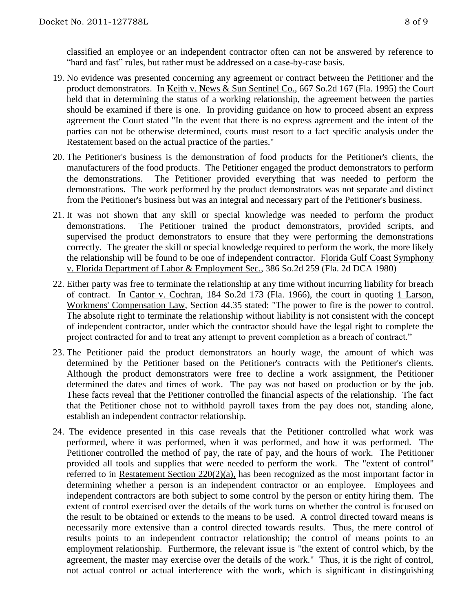classified an employee or an independent contractor often can not be answered by reference to "hard and fast" rules, but rather must be addressed on a case-by-case basis.

- 19. No evidence was presented concerning any agreement or contract between the Petitioner and the product demonstrators. In Keith v. News & Sun Sentinel Co., 667 So.2d 167 (Fla. 1995) the Court held that in determining the status of a working relationship, the agreement between the parties should be examined if there is one. In providing guidance on how to proceed absent an express agreement the Court stated "In the event that there is no express agreement and the intent of the parties can not be otherwise determined, courts must resort to a fact specific analysis under the Restatement based on the actual practice of the parties."
- 20. The Petitioner's business is the demonstration of food products for the Petitioner's clients, the manufacturers of the food products. The Petitioner engaged the product demonstrators to perform the demonstrations. The Petitioner provided everything that was needed to perform the demonstrations. The work performed by the product demonstrators was not separate and distinct from the Petitioner's business but was an integral and necessary part of the Petitioner's business.
- 21. It was not shown that any skill or special knowledge was needed to perform the product demonstrations. The Petitioner trained the product demonstrators, provided scripts, and supervised the product demonstrators to ensure that they were performing the demonstrations correctly. The greater the skill or special knowledge required to perform the work, the more likely the relationship will be found to be one of independent contractor. Florida Gulf Coast Symphony v. Florida Department of Labor & Employment Sec., 386 So.2d 259 (Fla. 2d DCA 1980)
- 22. Either party was free to terminate the relationship at any time without incurring liability for breach of contract. In Cantor v. Cochran, 184 So.2d 173 (Fla. 1966), the court in quoting 1 Larson, Workmens' Compensation Law, Section 44.35 stated: "The power to fire is the power to control. The absolute right to terminate the relationship without liability is not consistent with the concept of independent contractor, under which the contractor should have the legal right to complete the project contracted for and to treat any attempt to prevent completion as a breach of contract."
- 23. The Petitioner paid the product demonstrators an hourly wage, the amount of which was determined by the Petitioner based on the Petitioner's contracts with the Petitioner's clients. Although the product demonstrators were free to decline a work assignment, the Petitioner determined the dates and times of work. The pay was not based on production or by the job. These facts reveal that the Petitioner controlled the financial aspects of the relationship. The fact that the Petitioner chose not to withhold payroll taxes from the pay does not, standing alone, establish an independent contractor relationship.
- 24. The evidence presented in this case reveals that the Petitioner controlled what work was performed, where it was performed, when it was performed, and how it was performed. The Petitioner controlled the method of pay, the rate of pay, and the hours of work. The Petitioner provided all tools and supplies that were needed to perform the work. The "extent of control" referred to in Restatement Section 220(2)(a), has been recognized as the most important factor in determining whether a person is an independent contractor or an employee. Employees and independent contractors are both subject to some control by the person or entity hiring them. The extent of control exercised over the details of the work turns on whether the control is focused on the result to be obtained or extends to the means to be used. A control directed toward means is necessarily more extensive than a control directed towards results. Thus, the mere control of results points to an independent contractor relationship; the control of means points to an employment relationship. Furthermore, the relevant issue is "the extent of control which, by the agreement, the master may exercise over the details of the work." Thus, it is the right of control, not actual control or actual interference with the work, which is significant in distinguishing